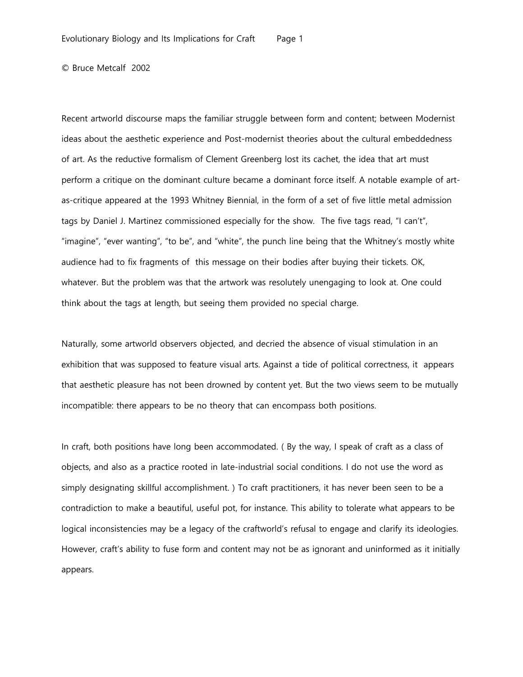Recent artworld discourse maps the familiar struggle between form and content; between Modernist ideas about the aesthetic experience and Post-modernist theories about the cultural embeddedness of art. As the reductive formalism of Clement Greenberg lost its cachet, the idea that art must perform a critique on the dominant culture became a dominant force itself. A notable example of artas-critique appeared at the 1993 Whitney Biennial, in the form of a set of five little metal admission tags by Daniel J. Martinez commissioned especially for the show. The five tags read, "I can't", "imagine", "ever wanting", "to be", and "white", the punch line being that the Whitney's mostly white audience had to fix fragments of this message on their bodies after buying their tickets. OK, whatever. But the problem was that the artwork was resolutely unengaging to look at. One could think about the tags at length, but seeing them provided no special charge.

Naturally, some artworld observers objected, and decried the absence of visual stimulation in an exhibition that was supposed to feature visual arts. Against a tide of political correctness, it appears that aesthetic pleasure has not been drowned by content yet. But the two views seem to be mutually incompatible: there appears to be no theory that can encompass both positions.

In craft, both positions have long been accommodated. ( By the way, I speak of craft as a class of objects, and also as a practice rooted in late-industrial social conditions. I do not use the word as simply designating skillful accomplishment. ) To craft practitioners, it has never been seen to be a contradiction to make a beautiful, useful pot, for instance. This ability to tolerate what appears to be logical inconsistencies may be a legacy of the craftworld's refusal to engage and clarify its ideologies. However, craft's ability to fuse form and content may not be as ignorant and uninformed as it initially appears.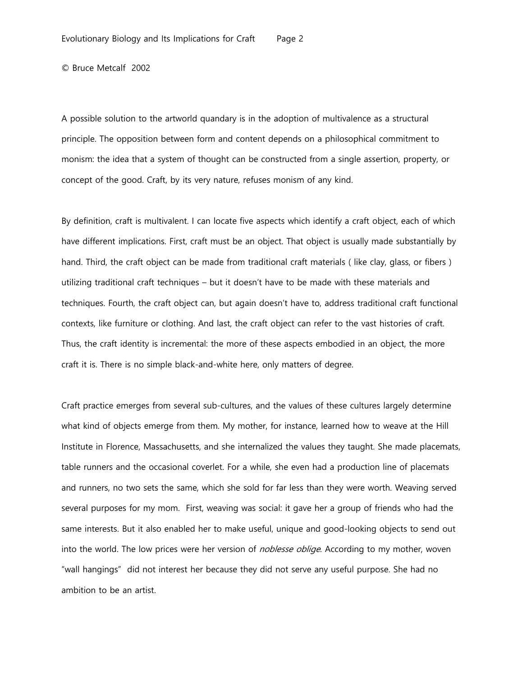A possible solution to the artworld quandary is in the adoption of multivalence as a structural principle. The opposition between form and content depends on a philosophical commitment to monism: the idea that a system of thought can be constructed from a single assertion, property, or concept of the good. Craft, by its very nature, refuses monism of any kind.

By definition, craft is multivalent. I can locate five aspects which identify a craft object, each of which have different implications. First, craft must be an object. That object is usually made substantially by hand. Third, the craft object can be made from traditional craft materials (like clay, glass, or fibers) utilizing traditional craft techniques – but it doesn't have to be made with these materials and techniques. Fourth, the craft object can, but again doesn't have to, address traditional craft functional contexts, like furniture or clothing. And last, the craft object can refer to the vast histories of craft. Thus, the craft identity is incremental: the more of these aspects embodied in an object, the more craft it is. There is no simple black-and-white here, only matters of degree.

Craft practice emerges from several sub-cultures, and the values of these cultures largely determine what kind of objects emerge from them. My mother, for instance, learned how to weave at the Hill Institute in Florence, Massachusetts, and she internalized the values they taught. She made placemats, table runners and the occasional coverlet. For a while, she even had a production line of placemats and runners, no two sets the same, which she sold for far less than they were worth. Weaving served several purposes for my mom. First, weaving was social: it gave her a group of friends who had the same interests. But it also enabled her to make useful, unique and good-looking objects to send out into the world. The low prices were her version of *noblesse oblige*. According to my mother, woven "wall hangings" did not interest her because they did not serve any useful purpose. She had no ambition to be an artist.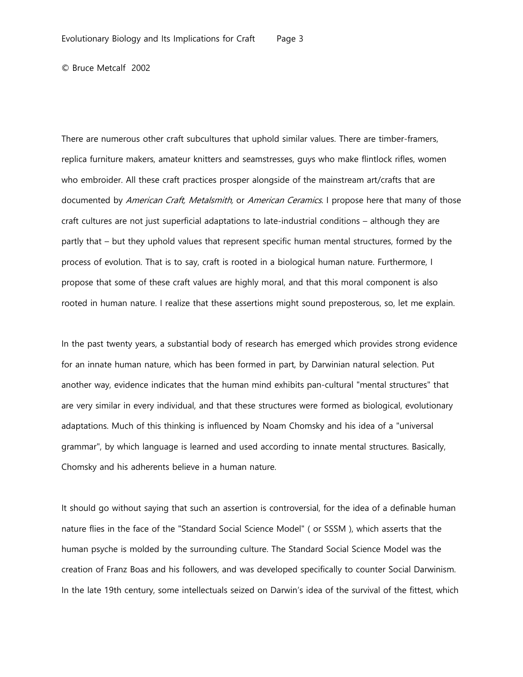There are numerous other craft subcultures that uphold similar values. There are timber-framers, replica furniture makers, amateur knitters and seamstresses, guys who make flintlock rifles, women who embroider. All these craft practices prosper alongside of the mainstream art/crafts that are documented by American Craft, Metalsmith, or American Ceramics. I propose here that many of those craft cultures are not just superficial adaptations to late-industrial conditions – although they are partly that – but they uphold values that represent specific human mental structures, formed by the process of evolution. That is to say, craft is rooted in a biological human nature. Furthermore, I propose that some of these craft values are highly moral, and that this moral component is also rooted in human nature. I realize that these assertions might sound preposterous, so, let me explain.

In the past twenty years, a substantial body of research has emerged which provides strong evidence for an innate human nature, which has been formed in part, by Darwinian natural selection. Put another way, evidence indicates that the human mind exhibits pan-cultural "mental structures" that are very similar in every individual, and that these structures were formed as biological, evolutionary adaptations. Much of this thinking is influenced by Noam Chomsky and his idea of a "universal grammar", by which language is learned and used according to innate mental structures. Basically, Chomsky and his adherents believe in a human nature.

It should go without saying that such an assertion is controversial, for the idea of a definable human nature flies in the face of the "Standard Social Science Model" ( or SSSM ), which asserts that the human psyche is molded by the surrounding culture. The Standard Social Science Model was the creation of Franz Boas and his followers, and was developed specifically to counter Social Darwinism. In the late 19th century, some intellectuals seized on Darwin's idea of the survival of the fittest, which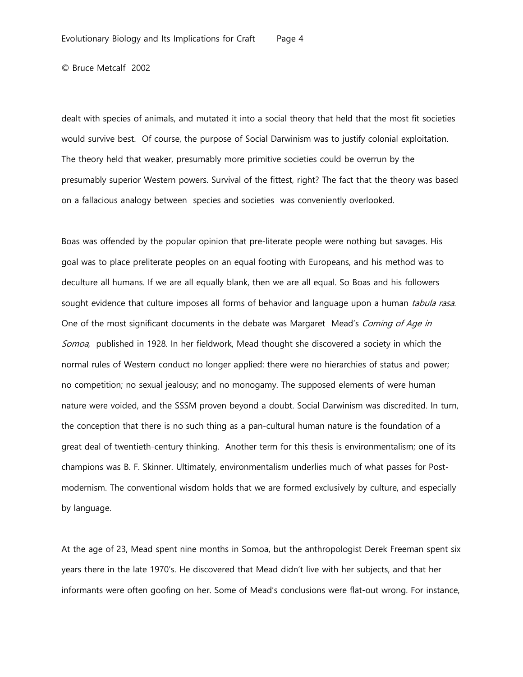dealt with species of animals, and mutated it into a social theory that held that the most fit societies would survive best. Of course, the purpose of Social Darwinism was to justify colonial exploitation. The theory held that weaker, presumably more primitive societies could be overrun by the presumably superior Western powers. Survival of the fittest, right? The fact that the theory was based on a fallacious analogy between species and societies was conveniently overlooked.

Boas was offended by the popular opinion that pre-literate people were nothing but savages. His goal was to place preliterate peoples on an equal footing with Europeans, and his method was to deculture all humans. If we are all equally blank, then we are all equal. So Boas and his followers sought evidence that culture imposes all forms of behavior and language upon a human *tabula rasa*. One of the most significant documents in the debate was Margaret Mead's Coming of Age in Somoa, published in 1928. In her fieldwork, Mead thought she discovered a society in which the normal rules of Western conduct no longer applied: there were no hierarchies of status and power; no competition; no sexual jealousy; and no monogamy. The supposed elements of were human nature were voided, and the SSSM proven beyond a doubt. Social Darwinism was discredited. In turn, the conception that there is no such thing as a pan-cultural human nature is the foundation of a great deal of twentieth-century thinking. Another term for this thesis is environmentalism; one of its champions was B. F. Skinner. Ultimately, environmentalism underlies much of what passes for Postmodernism. The conventional wisdom holds that we are formed exclusively by culture, and especially by language.

At the age of 23, Mead spent nine months in Somoa, but the anthropologist Derek Freeman spent six years there in the late 1970's. He discovered that Mead didn't live with her subjects, and that her informants were often goofing on her. Some of Mead's conclusions were flat-out wrong. For instance,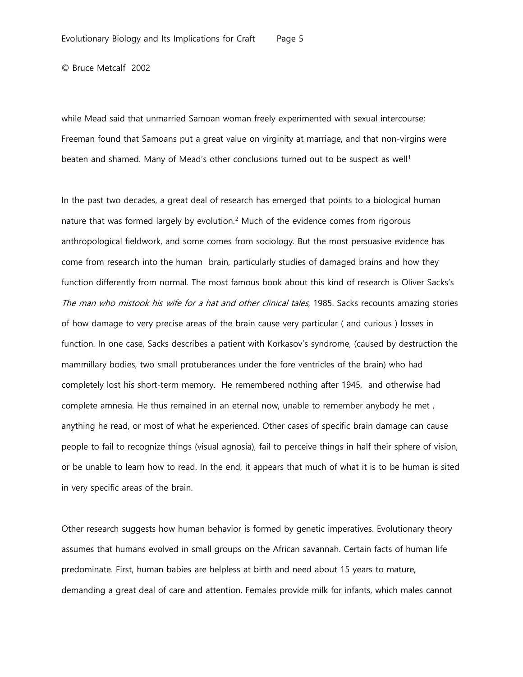while Mead said that unmarried Samoan woman freely experimented with sexual intercourse; Freeman found that Samoans put a great value on virginity at marriage, and that non-virgins were beaten and shamed. Many of Mead's other conclusions turned out to be suspect as well<sup>[1](#page-16-0)</sup>

In the past two decades, a great deal of research has emerged that points to a biological human nature that was formed largely by evolution.<sup>[2](#page-16-1)</sup> Much of the evidence comes from rigorous anthropological fieldwork, and some comes from sociology. But the most persuasive evidence has come from research into the human brain, particularly studies of damaged brains and how they function differently from normal. The most famous book about this kind of research is Oliver Sacks's The man who mistook his wife for a hat and other clinical tales, 1985. Sacks recounts amazing stories of how damage to very precise areas of the brain cause very particular ( and curious ) losses in function. In one case, Sacks describes a patient with Korkasov's syndrome, (caused by destruction the mammillary bodies, two small protuberances under the fore ventricles of the brain) who had completely lost his short-term memory. He remembered nothing after 1945, and otherwise had complete amnesia. He thus remained in an eternal now, unable to remember anybody he met , anything he read, or most of what he experienced. Other cases of specific brain damage can cause people to fail to recognize things (visual agnosia), fail to perceive things in half their sphere of vision, or be unable to learn how to read. In the end, it appears that much of what it is to be human is sited in very specific areas of the brain.

Other research suggests how human behavior is formed by genetic imperatives. Evolutionary theory assumes that humans evolved in small groups on the African savannah. Certain facts of human life predominate. First, human babies are helpless at birth and need about 15 years to mature, demanding a great deal of care and attention. Females provide milk for infants, which males cannot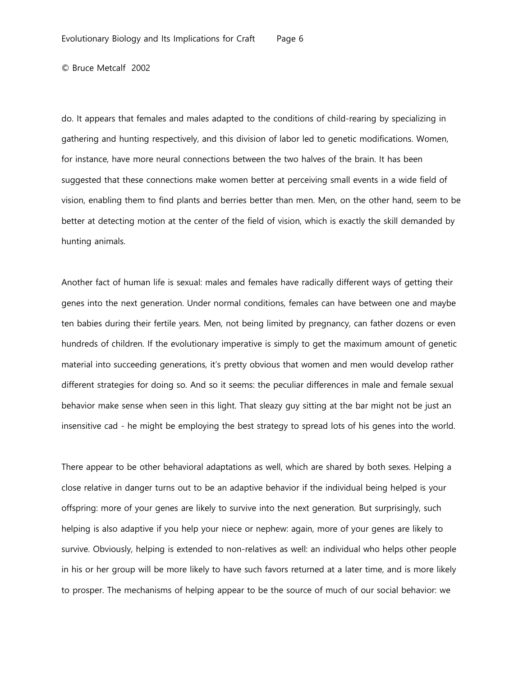do. It appears that females and males adapted to the conditions of child-rearing by specializing in gathering and hunting respectively, and this division of labor led to genetic modifications. Women, for instance, have more neural connections between the two halves of the brain. It has been suggested that these connections make women better at perceiving small events in a wide field of vision, enabling them to find plants and berries better than men. Men, on the other hand, seem to be better at detecting motion at the center of the field of vision, which is exactly the skill demanded by hunting animals.

Another fact of human life is sexual: males and females have radically different ways of getting their genes into the next generation. Under normal conditions, females can have between one and maybe ten babies during their fertile years. Men, not being limited by pregnancy, can father dozens or even hundreds of children. If the evolutionary imperative is simply to get the maximum amount of genetic material into succeeding generations, it's pretty obvious that women and men would develop rather different strategies for doing so. And so it seems: the peculiar differences in male and female sexual behavior make sense when seen in this light. That sleazy guy sitting at the bar might not be just an insensitive cad - he might be employing the best strategy to spread lots of his genes into the world.

There appear to be other behavioral adaptations as well, which are shared by both sexes. Helping a close relative in danger turns out to be an adaptive behavior if the individual being helped is your offspring: more of your genes are likely to survive into the next generation. But surprisingly, such helping is also adaptive if you help your niece or nephew: again, more of your genes are likely to survive. Obviously, helping is extended to non-relatives as well: an individual who helps other people in his or her group will be more likely to have such favors returned at a later time, and is more likely to prosper. The mechanisms of helping appear to be the source of much of our social behavior: we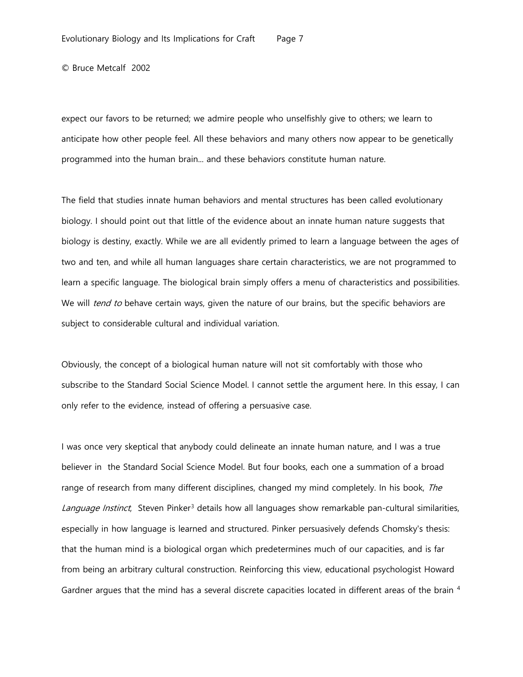expect our favors to be returned; we admire people who unselfishly give to others; we learn to anticipate how other people feel. All these behaviors and many others now appear to be genetically programmed into the human brain... and these behaviors constitute human nature.

The field that studies innate human behaviors and mental structures has been called evolutionary biology. I should point out that little of the evidence about an innate human nature suggests that biology is destiny, exactly. While we are all evidently primed to learn a language between the ages of two and ten, and while all human languages share certain characteristics, we are not programmed to learn a specific language. The biological brain simply offers a menu of characteristics and possibilities. We will *tend to* behave certain ways, given the nature of our brains, but the specific behaviors are subject to considerable cultural and individual variation.

Obviously, the concept of a biological human nature will not sit comfortably with those who subscribe to the Standard Social Science Model. I cannot settle the argument here. In this essay, I can only refer to the evidence, instead of offering a persuasive case.

I was once very skeptical that anybody could delineate an innate human nature, and I was a true believer in the Standard Social Science Model. But four books, each one a summation of a broad range of research from many different disciplines, changed my mind completely. In his book, The Language Instinct, Steven Pinker<sup>[3](#page-16-2)</sup> details how all languages show remarkable pan-cultural similarities, especially in how language is learned and structured. Pinker persuasively defends Chomsky's thesis: that the human mind is a biological organ which predetermines much of our capacities, and is far from being an arbitrary cultural construction. Reinforcing this view, educational psychologist Howard Gardner argues that the mind has a several discrete capacities located in different areas of the brain [4](#page-16-3)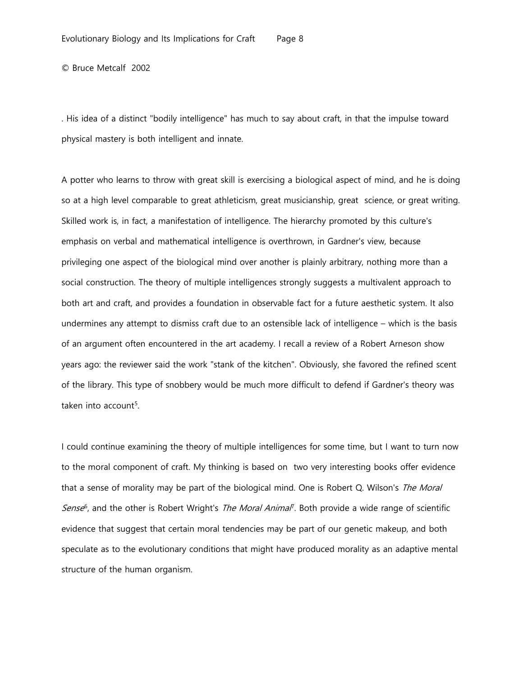. His idea of a distinct "bodily intelligence" has much to say about craft, in that the impulse toward physical mastery is both intelligent and innate.

A potter who learns to throw with great skill is exercising a biological aspect of mind, and he is doing so at a high level comparable to great athleticism, great musicianship, great science, or great writing. Skilled work is, in fact, a manifestation of intelligence. The hierarchy promoted by this culture's emphasis on verbal and mathematical intelligence is overthrown, in Gardner's view, because privileging one aspect of the biological mind over another is plainly arbitrary, nothing more than a social construction. The theory of multiple intelligences strongly suggests a multivalent approach to both art and craft, and provides a foundation in observable fact for a future aesthetic system. It also undermines any attempt to dismiss craft due to an ostensible lack of intelligence – which is the basis of an argument often encountered in the art academy. I recall a review of a Robert Arneson show years ago: the reviewer said the work "stank of the kitchen". Obviously, she favored the refined scent of the library. This type of snobbery would be much more difficult to defend if Gardner's theory was taken into account $5$ .

I could continue examining the theory of multiple intelligences for some time, but I want to turn now to the moral component of craft. My thinking is based on two very interesting books offer evidence that a sense of morality may be part of the biological mind. One is Robert Q. Wilson's The Moral Sense<sup>[6](#page-16-5)</sup>, and the other is Robert Wright's *The Moral Animal*<sup>7</sup>. Both provide a wide range of scientific evidence that suggest that certain moral tendencies may be part of our genetic makeup, and both speculate as to the evolutionary conditions that might have produced morality as an adaptive mental structure of the human organism.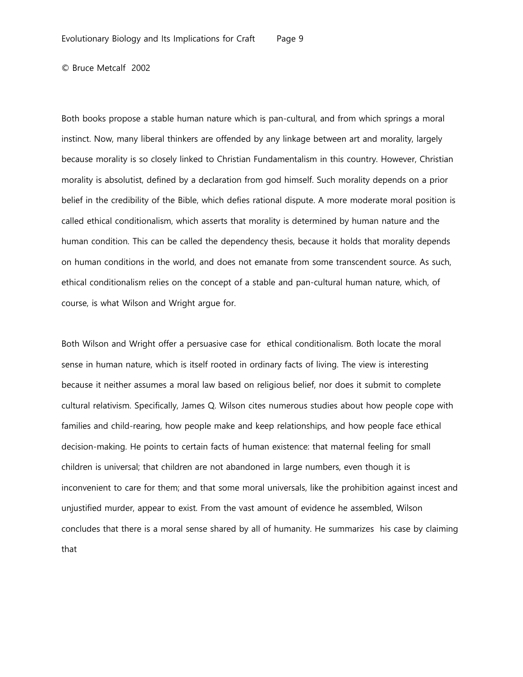Both books propose a stable human nature which is pan-cultural, and from which springs a moral instinct. Now, many liberal thinkers are offended by any linkage between art and morality, largely because morality is so closely linked to Christian Fundamentalism in this country. However, Christian morality is absolutist, defined by a declaration from god himself. Such morality depends on a prior belief in the credibility of the Bible, which defies rational dispute. A more moderate moral position is called ethical conditionalism, which asserts that morality is determined by human nature and the human condition. This can be called the dependency thesis, because it holds that morality depends on human conditions in the world, and does not emanate from some transcendent source. As such, ethical conditionalism relies on the concept of a stable and pan-cultural human nature, which, of course, is what Wilson and Wright argue for.

Both Wilson and Wright offer a persuasive case for ethical conditionalism. Both locate the moral sense in human nature, which is itself rooted in ordinary facts of living. The view is interesting because it neither assumes a moral law based on religious belief, nor does it submit to complete cultural relativism. Specifically, James Q. Wilson cites numerous studies about how people cope with families and child-rearing, how people make and keep relationships, and how people face ethical decision-making. He points to certain facts of human existence: that maternal feeling for small children is universal; that children are not abandoned in large numbers, even though it is inconvenient to care for them; and that some moral universals, like the prohibition against incest and unjustified murder, appear to exist. From the vast amount of evidence he assembled, Wilson concludes that there is a moral sense shared by all of humanity. He summarizes his case by claiming that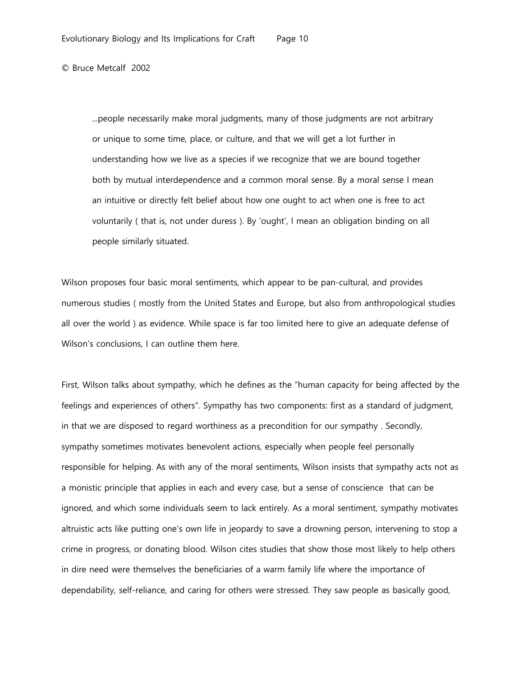...people necessarily make moral judgments, many of those judgments are not arbitrary or unique to some time, place, or culture, and that we will get a lot further in understanding how we live as a species if we recognize that we are bound together both by mutual interdependence and a common moral sense. By a moral sense I mean an intuitive or directly felt belief about how one ought to act when one is free to act voluntarily ( that is, not under duress ). By 'ought', I mean an obligation binding on all people similarly situated.

Wilson proposes four basic moral sentiments, which appear to be pan-cultural, and provides numerous studies ( mostly from the United States and Europe, but also from anthropological studies all over the world ) as evidence. While space is far too limited here to give an adequate defense of Wilson's conclusions, I can outline them here.

First, Wilson talks about sympathy, which he defines as the "human capacity for being affected by the feelings and experiences of others". Sympathy has two components: first as a standard of judgment, in that we are disposed to regard worthiness as a precondition for our sympathy . Secondly, sympathy sometimes motivates benevolent actions, especially when people feel personally responsible for helping. As with any of the moral sentiments, Wilson insists that sympathy acts not as a monistic principle that applies in each and every case, but a sense of conscience that can be ignored, and which some individuals seem to lack entirely. As a moral sentiment, sympathy motivates altruistic acts like putting one's own life in jeopardy to save a drowning person, intervening to stop a crime in progress, or donating blood. Wilson cites studies that show those most likely to help others in dire need were themselves the beneficiaries of a warm family life where the importance of dependability, self-reliance, and caring for others were stressed. They saw people as basically good,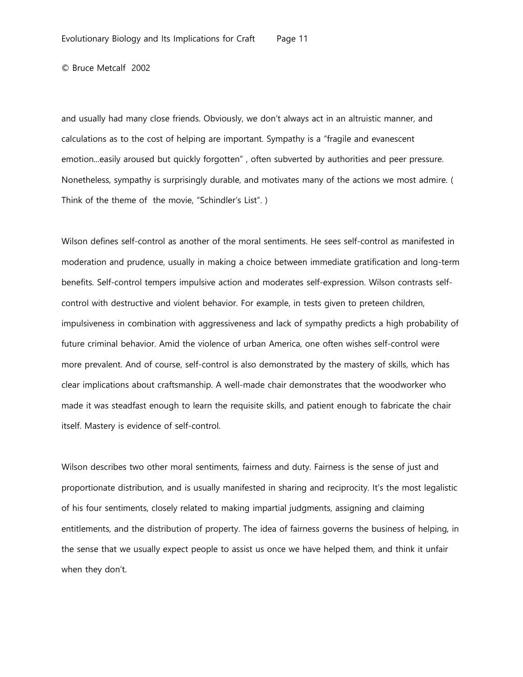and usually had many close friends. Obviously, we don't always act in an altruistic manner, and calculations as to the cost of helping are important. Sympathy is a "fragile and evanescent emotion...easily aroused but quickly forgotten" , often subverted by authorities and peer pressure. Nonetheless, sympathy is surprisingly durable, and motivates many of the actions we most admire. ( Think of the theme of the movie, "Schindler's List". )

Wilson defines self-control as another of the moral sentiments. He sees self-control as manifested in moderation and prudence, usually in making a choice between immediate gratification and long-term benefits. Self-control tempers impulsive action and moderates self-expression. Wilson contrasts selfcontrol with destructive and violent behavior. For example, in tests given to preteen children, impulsiveness in combination with aggressiveness and lack of sympathy predicts a high probability of future criminal behavior. Amid the violence of urban America, one often wishes self-control were more prevalent. And of course, self-control is also demonstrated by the mastery of skills, which has clear implications about craftsmanship. A well-made chair demonstrates that the woodworker who made it was steadfast enough to learn the requisite skills, and patient enough to fabricate the chair itself. Mastery is evidence of self-control.

Wilson describes two other moral sentiments, fairness and duty. Fairness is the sense of just and proportionate distribution, and is usually manifested in sharing and reciprocity. It's the most legalistic of his four sentiments, closely related to making impartial judgments, assigning and claiming entitlements, and the distribution of property. The idea of fairness governs the business of helping, in the sense that we usually expect people to assist us once we have helped them, and think it unfair when they don't.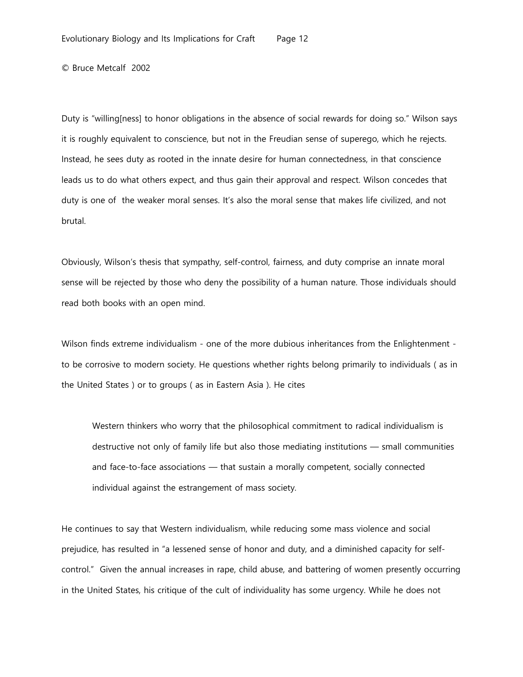Duty is "willing[ness] to honor obligations in the absence of social rewards for doing so." Wilson says it is roughly equivalent to conscience, but not in the Freudian sense of superego, which he rejects. Instead, he sees duty as rooted in the innate desire for human connectedness, in that conscience leads us to do what others expect, and thus gain their approval and respect. Wilson concedes that duty is one of the weaker moral senses. It's also the moral sense that makes life civilized, and not brutal.

Obviously, Wilson's thesis that sympathy, self-control, fairness, and duty comprise an innate moral sense will be rejected by those who deny the possibility of a human nature. Those individuals should read both books with an open mind.

Wilson finds extreme individualism - one of the more dubious inheritances from the Enlightenment to be corrosive to modern society. He questions whether rights belong primarily to individuals ( as in the United States ) or to groups ( as in Eastern Asia ). He cites

Western thinkers who worry that the philosophical commitment to radical individualism is destructive not only of family life but also those mediating institutions — small communities and face-to-face associations — that sustain a morally competent, socially connected individual against the estrangement of mass society.

He continues to say that Western individualism, while reducing some mass violence and social prejudice, has resulted in "a lessened sense of honor and duty, and a diminished capacity for selfcontrol." Given the annual increases in rape, child abuse, and battering of women presently occurring in the United States, his critique of the cult of individuality has some urgency. While he does not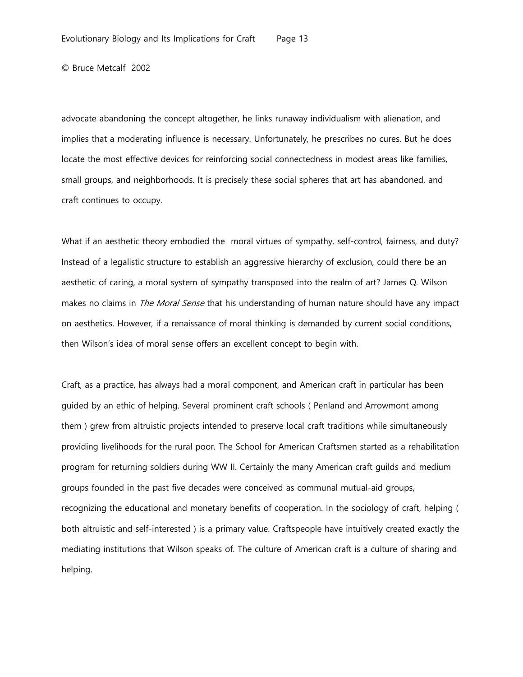advocate abandoning the concept altogether, he links runaway individualism with alienation, and implies that a moderating influence is necessary. Unfortunately, he prescribes no cures. But he does locate the most effective devices for reinforcing social connectedness in modest areas like families, small groups, and neighborhoods. It is precisely these social spheres that art has abandoned, and craft continues to occupy.

What if an aesthetic theory embodied the moral virtues of sympathy, self-control, fairness, and duty? Instead of a legalistic structure to establish an aggressive hierarchy of exclusion, could there be an aesthetic of caring, a moral system of sympathy transposed into the realm of art? James Q. Wilson makes no claims in *The Moral Sense* that his understanding of human nature should have any impact on aesthetics. However, if a renaissance of moral thinking is demanded by current social conditions, then Wilson's idea of moral sense offers an excellent concept to begin with.

Craft, as a practice, has always had a moral component, and American craft in particular has been guided by an ethic of helping. Several prominent craft schools ( Penland and Arrowmont among them ) grew from altruistic projects intended to preserve local craft traditions while simultaneously providing livelihoods for the rural poor. The School for American Craftsmen started as a rehabilitation program for returning soldiers during WW II. Certainly the many American craft guilds and medium groups founded in the past five decades were conceived as communal mutual-aid groups, recognizing the educational and monetary benefits of cooperation. In the sociology of craft, helping ( both altruistic and self-interested ) is a primary value. Craftspeople have intuitively created exactly the mediating institutions that Wilson speaks of. The culture of American craft is a culture of sharing and helping.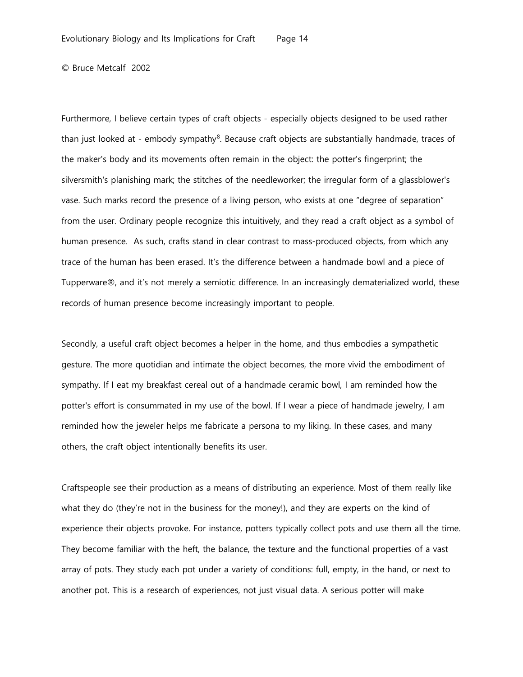Furthermore, I believe certain types of craft objects - especially objects designed to be used rather than just looked at - embody sympathy<sup>8</sup>. Because craft objects are substantially handmade, traces of the maker's body and its movements often remain in the object: the potter's fingerprint; the silversmith's planishing mark; the stitches of the needleworker; the irregular form of a glassblower's vase. Such marks record the presence of a living person, who exists at one "degree of separation" from the user. Ordinary people recognize this intuitively, and they read a craft object as a symbol of human presence. As such, crafts stand in clear contrast to mass-produced objects, from which any trace of the human has been erased. It's the difference between a handmade bowl and a piece of Tupperware®, and it's not merely a semiotic difference. In an increasingly dematerialized world, these records of human presence become increasingly important to people.

Secondly, a useful craft object becomes a helper in the home, and thus embodies a sympathetic gesture. The more quotidian and intimate the object becomes, the more vivid the embodiment of sympathy. If I eat my breakfast cereal out of a handmade ceramic bowl, I am reminded how the potter's effort is consummated in my use of the bowl. If I wear a piece of handmade jewelry, I am reminded how the jeweler helps me fabricate a persona to my liking. In these cases, and many others, the craft object intentionally benefits its user.

Craftspeople see their production as a means of distributing an experience. Most of them really like what they do (they're not in the business for the money!), and they are experts on the kind of experience their objects provoke. For instance, potters typically collect pots and use them all the time. They become familiar with the heft, the balance, the texture and the functional properties of a vast array of pots. They study each pot under a variety of conditions: full, empty, in the hand, or next to another pot. This is a research of experiences, not just visual data. A serious potter will make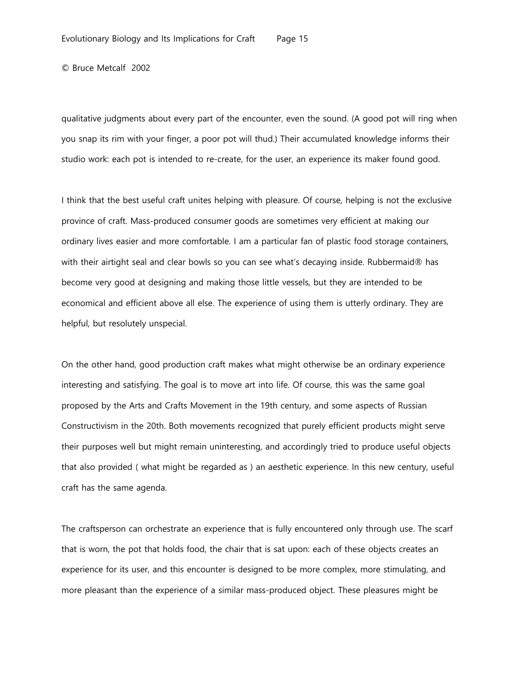qualitative judgments about every part of the encounter, even the sound. (A good pot will ring when you snap its rim with your finger, a poor pot will thud.) Their accumulated knowledge informs their studio work: each pot is intended to re-create, for the user, an experience its maker found good.

I think that the best useful craft unites helping with pleasure. Of course, helping is not the exclusive province of craft. Mass-produced consumer goods are sometimes very efficient at making our ordinary lives easier and more comfortable. I am a particular fan of plastic food storage containers, with their airtight seal and clear bowls so you can see what's decaying inside. Rubbermaid® has become very good at designing and making those little vessels, but they are intended to be economical and efficient above all else. The experience of using them is utterly ordinary. They are helpful, but resolutely unspecial.

On the other hand, good production craft makes what might otherwise be an ordinary experience interesting and satisfying. The goal is to move art into life. Of course, this was the same goal proposed by the Arts and Crafts Movement in the 19th century, and some aspects of Russian Constructivism in the 20th. Both movements recognized that purely efficient products might serve their purposes well but might remain uninteresting, and accordingly tried to produce useful objects that also provided ( what might be regarded as ) an aesthetic experience. In this new century, useful craft has the same agenda.

The craftsperson can orchestrate an experience that is fully encountered only through use. The scarf that is worn, the pot that holds food, the chair that is sat upon: each of these objects creates an experience for its user, and this encounter is designed to be more complex, more stimulating, and more pleasant than the experience of a similar mass-produced object. These pleasures might be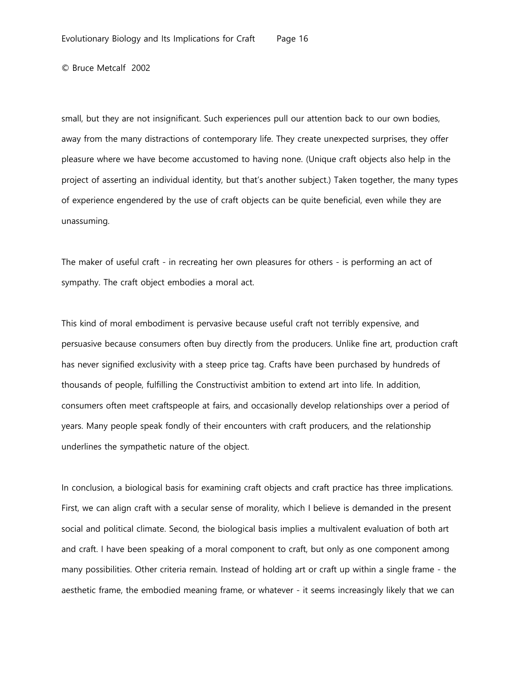small, but they are not insignificant. Such experiences pull our attention back to our own bodies, away from the many distractions of contemporary life. They create unexpected surprises, they offer pleasure where we have become accustomed to having none. (Unique craft objects also help in the project of asserting an individual identity, but that's another subject.) Taken together, the many types of experience engendered by the use of craft objects can be quite beneficial, even while they are unassuming.

The maker of useful craft - in recreating her own pleasures for others - is performing an act of sympathy. The craft object embodies a moral act.

This kind of moral embodiment is pervasive because useful craft not terribly expensive, and persuasive because consumers often buy directly from the producers. Unlike fine art, production craft has never signified exclusivity with a steep price tag. Crafts have been purchased by hundreds of thousands of people, fulfilling the Constructivist ambition to extend art into life. In addition, consumers often meet craftspeople at fairs, and occasionally develop relationships over a period of years. Many people speak fondly of their encounters with craft producers, and the relationship underlines the sympathetic nature of the object.

In conclusion, a biological basis for examining craft objects and craft practice has three implications. First, we can align craft with a secular sense of morality, which I believe is demanded in the present social and political climate. Second, the biological basis implies a multivalent evaluation of both art and craft. I have been speaking of a moral component to craft, but only as one component among many possibilities. Other criteria remain. Instead of holding art or craft up within a single frame - the aesthetic frame, the embodied meaning frame, or whatever - it seems increasingly likely that we can